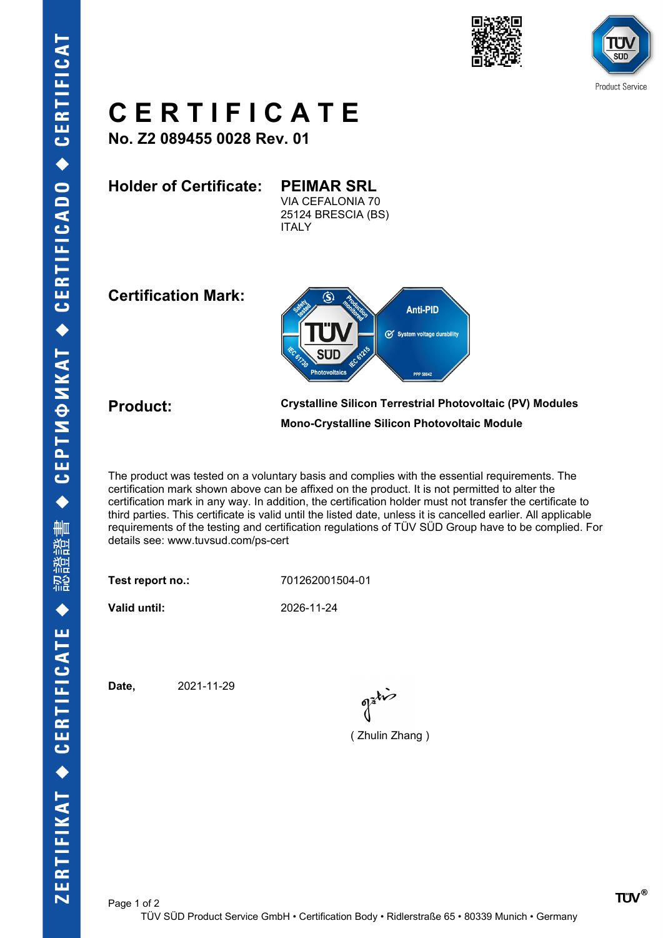





## **C E R T I F I C A T E**

**No. Z2 089455 0028 Rev. 01**

**Holder of Certificate: PEIMAR SRL** VIA CEFALONIA 70 25124 BRESCIA (BS) **ITALY** 

**Certification Mark:**



**Product: Crystalline Silicon Terrestrial Photovoltaic (PV) Modules Mono-Crystalline Silicon Photovoltaic Module**

The product was tested on a voluntary basis and complies with the essential requirements. The certification mark shown above can be affixed on the product. It is not permitted to alter the certification mark in any way. In addition, the certification holder must not transfer the certificate to third parties. This certificate is valid until the listed date, unless it is cancelled earlier. All applicable requirements of the testing and certification regulations of TÜV SÜD Group have to be complied. For details see: www.tuvsud.com/ps-cert

**Test report no.:** 701262001504-01

**Valid until:** 2026-11-24

**Date,** 2021-11-29

( Zhulin Zhang )